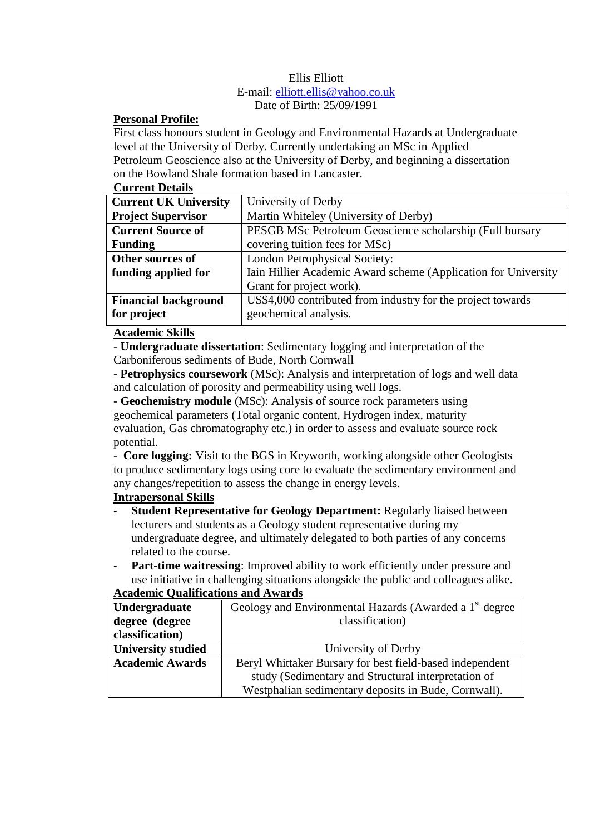# Ellis Elliott

#### E-mail: [elliott.ellis@yahoo.co.uk](mailto:elliott.ellis@yahoo.co.uk) Date of Birth: 25/09/1991

### **Personal Profile:**

First class honours student in Geology and Environmental Hazards at Undergraduate level at the University of Derby. Currently undertaking an MSc in Applied Petroleum Geoscience also at the University of Derby, and beginning a dissertation on the Bowland Shale formation based in Lancaster.

# **Current Details**

| <b>Current UK University</b> | University of Derby                                            |
|------------------------------|----------------------------------------------------------------|
| <b>Project Supervisor</b>    | Martin Whiteley (University of Derby)                          |
| <b>Current Source of</b>     | PESGB MSc Petroleum Geoscience scholarship (Full bursary       |
| <b>Funding</b>               | covering tuition fees for MSc)                                 |
| Other sources of             | London Petrophysical Society:                                  |
| funding applied for          | Iain Hillier Academic Award scheme (Application for University |
|                              | Grant for project work).                                       |
| <b>Financial background</b>  | US\$4,000 contributed from industry for the project towards    |
| for project                  | geochemical analysis.                                          |
|                              |                                                                |

## **Academic Skills**

- **Undergraduate dissertation**: Sedimentary logging and interpretation of the Carboniferous sediments of Bude, North Cornwall

- **Petrophysics coursework** (MSc): Analysis and interpretation of logs and well data and calculation of porosity and permeability using well logs.

- **Geochemistry module** (MSc): Analysis of source rock parameters using geochemical parameters (Total organic content, Hydrogen index, maturity evaluation, Gas chromatography etc.) in order to assess and evaluate source rock potential.

- **Core logging:** Visit to the BGS in Keyworth, working alongside other Geologists to produce sedimentary logs using core to evaluate the sedimentary environment and any changes/repetition to assess the change in energy levels.

# **Intrapersonal Skills**

- **Student Representative for Geology Department:** Regularly liaised between lecturers and students as a Geology student representative during my undergraduate degree, and ultimately delegated to both parties of any concerns related to the course.
- **Part-time waitressing**: Improved ability to work efficiently under pressure and use initiative in challenging situations alongside the public and colleagues alike.

# **Academic Qualifications and Awards**

| Undergraduate             | Geology and Environmental Hazards (Awarded a 1 <sup>st</sup> degree |
|---------------------------|---------------------------------------------------------------------|
| degree (degree            | classification)                                                     |
| classification)           |                                                                     |
| <b>University studied</b> | University of Derby                                                 |
| <b>Academic Awards</b>    | Beryl Whittaker Bursary for best field-based independent            |
|                           | study (Sedimentary and Structural interpretation of                 |
|                           | Westphalian sedimentary deposits in Bude, Cornwall).                |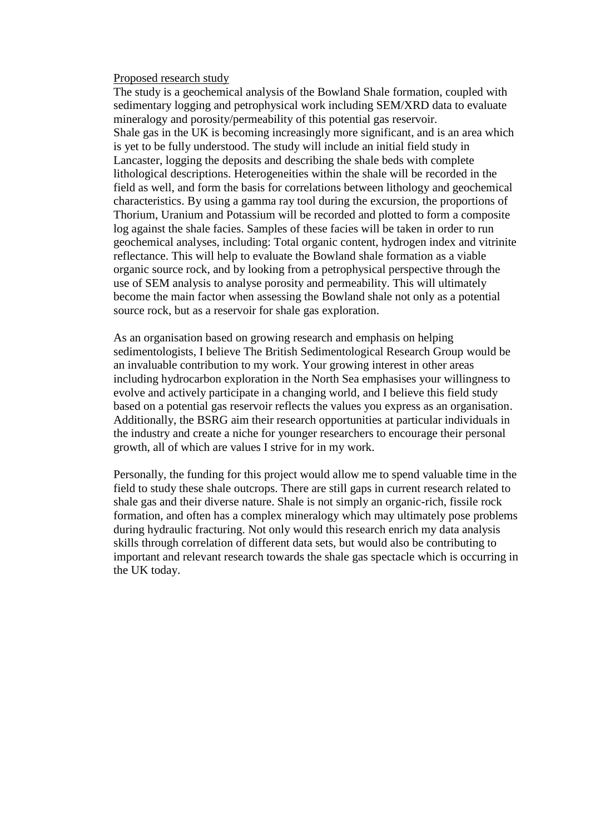#### Proposed research study

The study is a geochemical analysis of the Bowland Shale formation, coupled with sedimentary logging and petrophysical work including SEM/XRD data to evaluate mineralogy and porosity/permeability of this potential gas reservoir. Shale gas in the UK is becoming increasingly more significant, and is an area which is yet to be fully understood. The study will include an initial field study in Lancaster, logging the deposits and describing the shale beds with complete lithological descriptions. Heterogeneities within the shale will be recorded in the field as well, and form the basis for correlations between lithology and geochemical characteristics. By using a gamma ray tool during the excursion, the proportions of Thorium, Uranium and Potassium will be recorded and plotted to form a composite log against the shale facies. Samples of these facies will be taken in order to run geochemical analyses, including: Total organic content, hydrogen index and vitrinite reflectance. This will help to evaluate the Bowland shale formation as a viable organic source rock, and by looking from a petrophysical perspective through the use of SEM analysis to analyse porosity and permeability. This will ultimately become the main factor when assessing the Bowland shale not only as a potential source rock, but as a reservoir for shale gas exploration.

As an organisation based on growing research and emphasis on helping sedimentologists, I believe The British Sedimentological Research Group would be an invaluable contribution to my work. Your growing interest in other areas including hydrocarbon exploration in the North Sea emphasises your willingness to evolve and actively participate in a changing world, and I believe this field study based on a potential gas reservoir reflects the values you express as an organisation. Additionally, the BSRG aim their research opportunities at particular individuals in the industry and create a niche for younger researchers to encourage their personal growth, all of which are values I strive for in my work.

Personally, the funding for this project would allow me to spend valuable time in the field to study these shale outcrops. There are still gaps in current research related to shale gas and their diverse nature. Shale is not simply an organic-rich, fissile rock formation, and often has a complex mineralogy which may ultimately pose problems during hydraulic fracturing. Not only would this research enrich my data analysis skills through correlation of different data sets, but would also be contributing to important and relevant research towards the shale gas spectacle which is occurring in the UK today.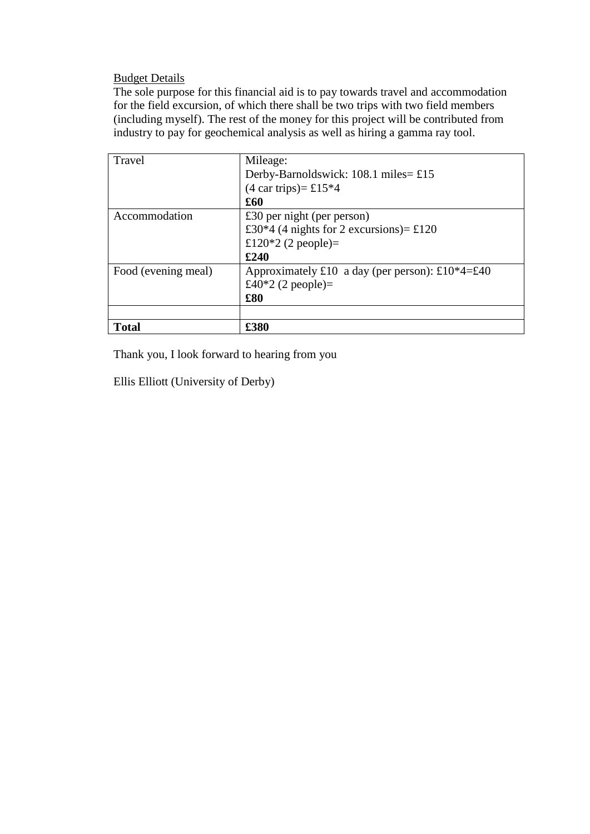Budget Details

The sole purpose for this financial aid is to pay towards travel and accommodation for the field excursion, of which there shall be two trips with two field members (including myself). The rest of the money for this project will be contributed from industry to pay for geochemical analysis as well as hiring a gamma ray tool.

| Travel              | Mileage:                                        |
|---------------------|-------------------------------------------------|
|                     | Derby-Barnoldswick: $108.1$ miles= £15          |
|                     | $(4 \text{ car trips}) = \pounds15*4$           |
|                     | £60                                             |
| Accommodation       | £30 per night (per person)                      |
|                     | £30*4 (4 nights for 2 excursions)= £120         |
|                     | £120*2 (2 people)=                              |
|                     | £240                                            |
| Food (evening meal) | Approximately £10 a day (per person): £10*4=£40 |
|                     | £40*2 (2 people)=                               |
|                     | \$80                                            |
|                     |                                                 |
| <b>Total</b>        | £380                                            |

Thank you, I look forward to hearing from you

Ellis Elliott (University of Derby)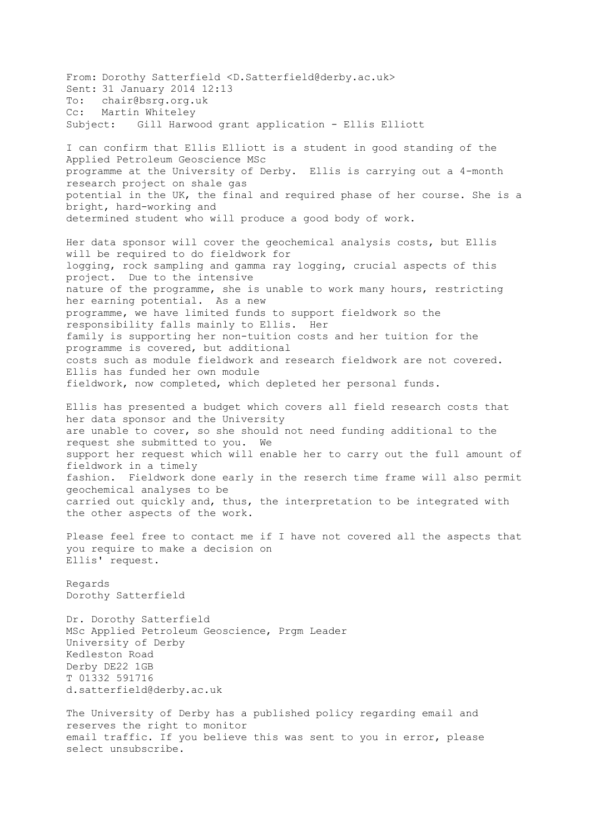From: Dorothy Satterfield <D.Satterfield@derby.ac.uk> Sent: 31 January 2014 12:13 To: chair@bsrg.org.uk Cc: Martin Whiteley Subject: Gill Harwood grant application - Ellis Elliott I can confirm that Ellis Elliott is a student in good standing of the Applied Petroleum Geoscience MSc programme at the University of Derby. Ellis is carrying out a 4-month research project on shale gas potential in the UK, the final and required phase of her course. She is a bright, hard-working and determined student who will produce a good body of work. Her data sponsor will cover the geochemical analysis costs, but Ellis will be required to do fieldwork for logging, rock sampling and gamma ray logging, crucial aspects of this project. Due to the intensive nature of the programme, she is unable to work many hours, restricting her earning potential. As a new programme, we have limited funds to support fieldwork so the responsibility falls mainly to Ellis. Her family is supporting her non-tuition costs and her tuition for the programme is covered, but additional costs such as module fieldwork and research fieldwork are not covered. Ellis has funded her own module fieldwork, now completed, which depleted her personal funds. Ellis has presented a budget which covers all field research costs that her data sponsor and the University are unable to cover, so she should not need funding additional to the request she submitted to you. We support her request which will enable her to carry out the full amount of fieldwork in a timely fashion. Fieldwork done early in the reserch time frame will also permit geochemical analyses to be carried out quickly and, thus, the interpretation to be integrated with the other aspects of the work. Please feel free to contact me if I have not covered all the aspects that you require to make a decision on Ellis' request. Regards Dorothy Satterfield Dr. Dorothy Satterfield MSc Applied Petroleum Geoscience, Prgm Leader University of Derby Kedleston Road Derby DE22 1GB T 01332 591716 d.satterfield@derby.ac.uk The University of Derby has a published policy regarding email and reserves the right to monitor email traffic. If you believe this was sent to you in error, please select unsubscribe.